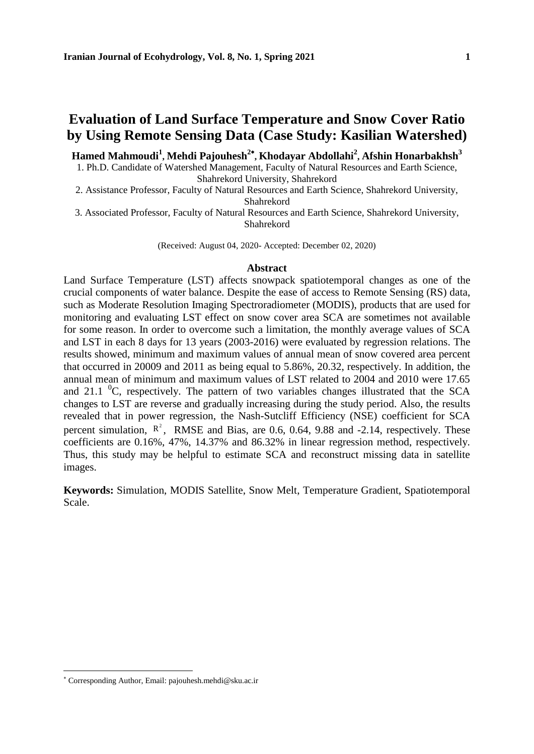# **Evaluation of Land Surface Temperature and Snow Cover Ratio by Using Remote Sensing Data (Case Study: Kasilian Watershed)**

**Hamed Mahmoudi<sup>1</sup> , Mehdi Pajouhesh<sup>2</sup> , Khodayar Abdollahi<sup>2</sup> , Afshin Honarbakhsh<sup>3</sup>**

1. Ph.D. Candidate of Watershed Management, Faculty of Natural Resources and Earth Science, Shahrekord University, Shahrekord

2. Assistance Professor, Faculty of Natural Resources and Earth Science, Shahrekord University, Shahrekord

3. Associated Professor, Faculty of Natural Resources and Earth Science, Shahrekord University, Shahrekord

(Received: August 04, 2020- Accepted: December 02, 2020)

#### **Abstract**

Land Surface Temperature (LST) affects snowpack spatiotemporal changes as one of the crucial components of water balance. Despite the ease of access to Remote Sensing (RS) data, such as Moderate Resolution Imaging Spectroradiometer (MODIS), products that are used for monitoring and evaluating LST effect on snow cover area SCA are sometimes not available for some reason. In order to overcome such a limitation, the monthly average values of SCA and LST in each 8 days for 13 years (2003-2016) were evaluated by regression relations. The results showed, minimum and maximum values of annual mean of snow covered area percent that occurred in 20009 and 2011 as being equal to 5.86%, 20.32, respectively. In addition, the annual mean of minimum and maximum values of LST related to 2004 and 2010 were 17.65 and 21.1  ${}^{0}C$ , respectively. The pattern of two variables changes illustrated that the SCA changes to LST are reverse and gradually increasing during the study period. Also, the results revealed that in power regression, the Nash-Sutcliff Efficiency (NSE) coefficient for SCA percent simulation,  $R^2$ , RMSE and Bias, are 0.6, 0.64, 9.88 and -2.14, respectively. These coefficients are 0.16%, 47%, 14.37% and 86.32% in linear regression method, respectively. Thus, this study may be helpful to estimate SCA and reconstruct missing data in satellite images.

**Keywords:** Simulation, MODIS Satellite, Snow Melt, Temperature Gradient, Spatiotemporal Scale.

Corresponding Author, Email: pajouhesh.mehdi@sku.ac.ir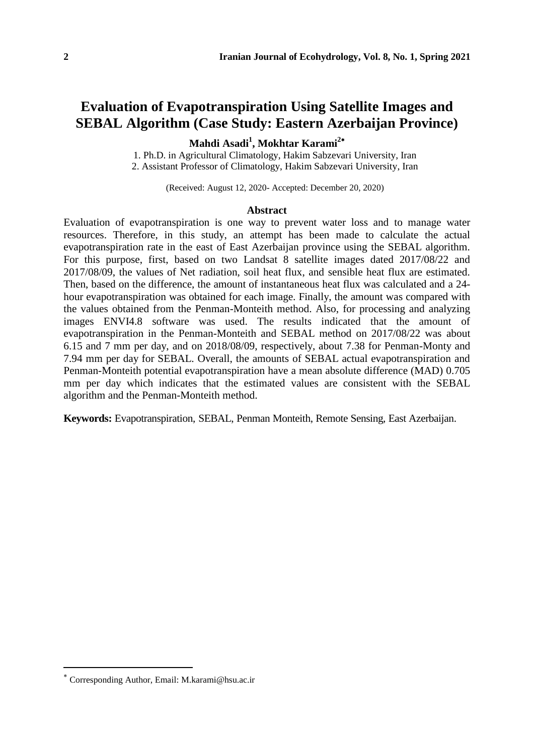### **Evaluation of Evapotranspiration Using Satellite Images and SEBAL Algorithm (Case Study: Eastern Azerbaijan Province)**

**Mahdi Asadi<sup>1</sup> , Mokhtar Karami<sup>2</sup>**

1. Ph.D. in Agricultural Climatology, Hakim Sabzevari University, Iran 2. Assistant Professor of Climatology, Hakim Sabzevari University, Iran

(Received: August 12, 2020- Accepted: December 20, 2020)

#### **Abstract**

Evaluation of evapotranspiration is one way to prevent water loss and to manage water resources. Therefore, in this study, an attempt has been made to calculate the actual evapotranspiration rate in the east of East Azerbaijan province using the SEBAL algorithm. For this purpose, first, based on two Landsat 8 satellite images dated 2017/08/22 and 2017/08/09, the values of Net radiation, soil heat flux, and sensible heat flux are estimated. Then, based on the difference, the amount of instantaneous heat flux was calculated and a 24 hour evapotranspiration was obtained for each image. Finally, the amount was compared with the values obtained from the Penman-Monteith method. Also, for processing and analyzing images ENVI4.8 software was used. The results indicated that the amount of evapotranspiration in the Penman-Monteith and SEBAL method on 2017/08/22 was about 6.15 and 7 mm per day, and on 2018/08/09, respectively, about 7.38 for Penman-Monty and 7.94 mm per day for SEBAL. Overall, the amounts of SEBAL actual evapotranspiration and Penman-Monteith potential evapotranspiration have a mean absolute difference (MAD) 0.705 mm per day which indicates that the estimated values are consistent with the SEBAL algorithm and the Penman-Monteith method.

**Keywords:** Evapotranspiration, SEBAL, Penman Monteith, Remote Sensing, East Azerbaijan.

Corresponding Author, Email: M.karami@hsu.ac.ir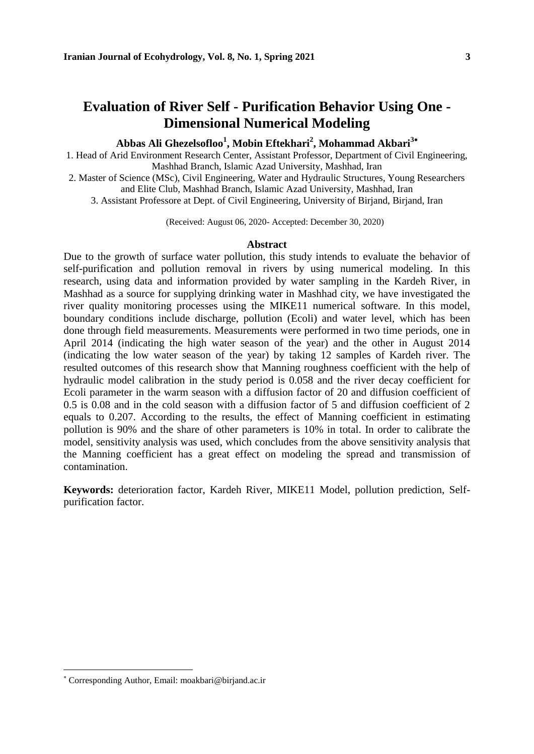# **Evaluation of River Self - Purification Behavior Using One - Dimensional Numerical Modeling**

### **Abbas Ali Ghezelsofloo<sup>1</sup> , Mobin Eftekhari<sup>2</sup> , Mohammad Akbari<sup>3</sup>**

1. Head of Arid Environment Research Center, Assistant Professor, Department of Civil Engineering, Mashhad Branch, Islamic Azad University, Mashhad, Iran

- 2. Master of Science (MSc), Civil Engineering, Water and Hydraulic Structures, Young Researchers and Elite Club, Mashhad Branch, Islamic Azad University, Mashhad, Iran
	- 3. Assistant Professore at Dept. of Civil Engineering, University of Birjand, Birjand, Iran

(Received: August 06, 2020- Accepted: December 30, 2020)

#### **Abstract**

Due to the growth of surface water pollution, this study intends to evaluate the behavior of self-purification and pollution removal in rivers by using numerical modeling. In this research, using data and information provided by water sampling in the Kardeh River, in Mashhad as a source for supplying drinking water in Mashhad city, we have investigated the river quality monitoring processes using the MIKE11 numerical software. In this model, boundary conditions include discharge, pollution (Ecoli) and water level, which has been done through field measurements. Measurements were performed in two time periods, one in April 2014 (indicating the high water season of the year) and the other in August 2014 (indicating the low water season of the year) by taking 12 samples of Kardeh river. The resulted outcomes of this research show that Manning roughness coefficient with the help of hydraulic model calibration in the study period is 0.058 and the river decay coefficient for Ecoli parameter in the warm season with a diffusion factor of 20 and diffusion coefficient of 0.5 is 0.08 and in the cold season with a diffusion factor of 5 and diffusion coefficient of 2 equals to 0.207. According to the results, the effect of Manning coefficient in estimating pollution is 90% and the share of other parameters is 10% in total. In order to calibrate the model, sensitivity analysis was used, which concludes from the above sensitivity analysis that the Manning coefficient has a great effect on modeling the spread and transmission of contamination.

**Keywords:** deterioration factor, Kardeh River, MIKE11 Model, pollution prediction, Selfpurification factor.

Corresponding Author, Email: moakbari@birjand.ac.ir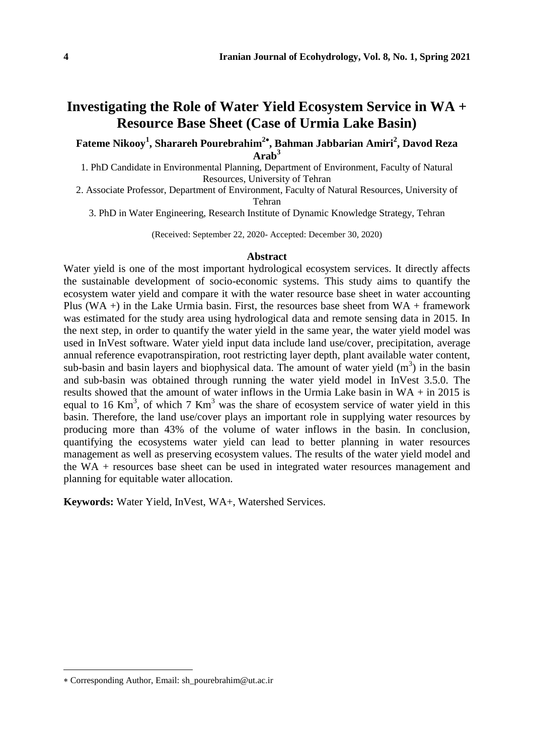### **Investigating the Role of Water Yield Ecosystem Service in WA + Resource Base Sheet (Case of Urmia Lake Basin)**

**Fateme Nikooy<sup>1</sup> , Sharareh Pourebrahim<sup>2</sup> , Bahman Jabbarian Amiri<sup>2</sup> , Davod Reza Arab<sup>3</sup>**

1. PhD Candidate in Environmental Planning, Department of Environment, Faculty of Natural Resources, University of Tehran

2. Associate Professor, Department of Environment, Faculty of Natural Resources, University of Tehran

3. PhD in Water Engineering, Research Institute of Dynamic Knowledge Strategy, Tehran

(Received: September 22, 2020- Accepted: December 30, 2020)

#### **Abstract**

Water yield is one of the most important hydrological ecosystem services. It directly affects the sustainable development of socio-economic systems. This study aims to quantify the ecosystem water yield and compare it with the water resource base sheet in water accounting Plus (WA +) in the Lake Urmia basin. First, the resources base sheet from  $WA + framework$ was estimated for the study area using hydrological data and remote sensing data in 2015. In the next step, in order to quantify the water yield in the same year, the water yield model was used in InVest software. Water yield input data include land use/cover, precipitation, average annual reference evapotranspiration, root restricting layer depth, plant available water content, sub-basin and basin layers and biophysical data. The amount of water yield  $(m<sup>3</sup>)$  in the basin and sub-basin was obtained through running the water yield model in InVest 3.5.0. The results showed that the amount of water inflows in the Urmia Lake basin in WA + in 2015 is equal to 16 Km<sup>3</sup>, of which 7 Km<sup>3</sup> was the share of ecosystem service of water yield in this basin. Therefore, the land use/cover plays an important role in supplying water resources by producing more than 43% of the volume of water inflows in the basin. In conclusion, quantifying the ecosystems water yield can lead to better planning in water resources management as well as preserving ecosystem values. The results of the water yield model and the WA + resources base sheet can be used in integrated water resources management and planning for equitable water allocation.

**Keywords:** Water Yield, InVest, WA+, Watershed Services.

Corresponding Author, Email: sh\_pourebrahim@ut.ac.ir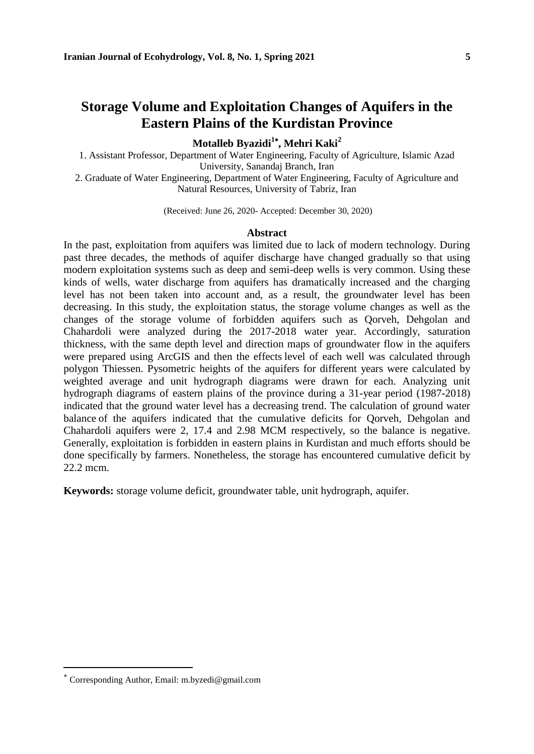### **Storage Volume and Exploitation Changes of Aquifers in the Eastern Plains of the Kurdistan Province**

**Motalleb Byazidi<sup>1</sup> , Mehri Kaki<sup>2</sup>**

1. Assistant Professor, Department of Water Engineering, Faculty of Agriculture, Islamic Azad University, Sanandaj Branch, Iran 2. Graduate of Water Engineering, Department of Water Engineering, Faculty of Agriculture and

Natural Resources, University of Tabriz, Iran

(Received: June 26, 2020- Accepted: December 30, 2020)

#### **Abstract**

In the past, exploitation from aquifers was limited due to lack of modern technology. During past three decades, the methods of aquifer discharge have changed gradually so that using modern exploitation systems such as deep and semi-deep wells is very common. Using these kinds of wells, water discharge from aquifers has dramatically increased and the charging level has not been taken into account and, as a result, the groundwater level has been decreasing. In this study, the exploitation status, the storage volume changes as well as the changes of the storage volume of forbidden aquifers such as Qorveh, Dehgolan and Chahardoli were analyzed during the 2017-2018 water year. Accordingly, saturation thickness, with the same depth level and direction maps of groundwater flow in the aquifers were prepared using ArcGIS and then the effects level of each well was calculated through polygon Thiessen. Pysometric heights of the aquifers for different years were calculated by weighted average and unit hydrograph diagrams were drawn for each. Analyzing unit hydrograph diagrams of eastern plains of the province during a 31-year period (1987-2018) indicated that the ground water level has a decreasing trend. The calculation of ground water balance of the aquifers indicated that the cumulative deficits for Qorveh, Dehgolan and Chahardoli aquifers were 2, 17.4 and 2.98 MCM respectively, so the balance is negative. Generally, exploitation is forbidden in eastern plains in Kurdistan and much efforts should be done specifically by farmers. Nonetheless, the storage has encountered cumulative deficit by 22.2 mcm.

**Keywords:** storage volume deficit, groundwater table, unit hydrograph, aquifer.

Corresponding Author, Email: m.byzedi@gmail.com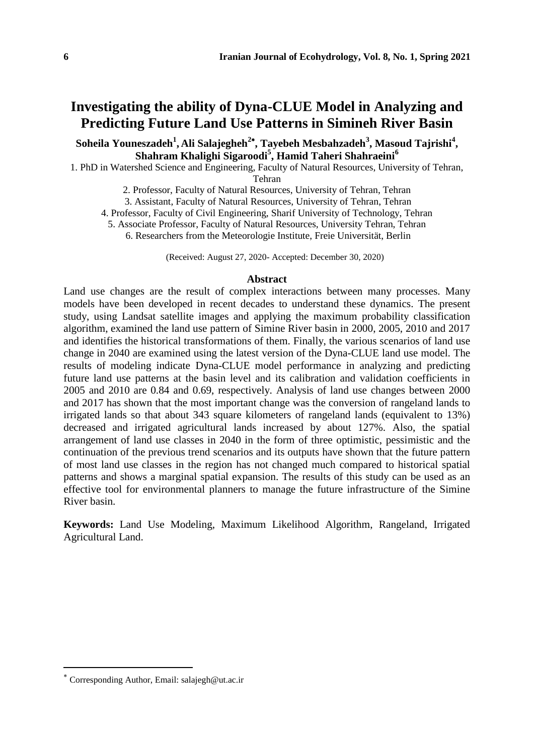# **Investigating the ability of Dyna-CLUE Model in Analyzing and Predicting Future Land Use Patterns in Simineh River Basin**

**Soheila Youneszadeh<sup>1</sup> , Ali Salajegheh<sup>2</sup> , Tayebeh Mesbahzadeh<sup>3</sup> , Masoud Tajrishi<sup>4</sup> , Shahram Khalighi Sigaroodi<sup>5</sup> , Hamid Taheri Shahraeini<sup>6</sup>**

1. PhD in Watershed Science and Engineering, Faculty of Natural Resources, University of Tehran,

Tehran

2. Professor, Faculty of Natural Resources, University of Tehran, Tehran

3. Assistant, Faculty of Natural Resources, University of Tehran, Tehran

4. Professor, Faculty of Civil Engineering, Sharif University of Technology, Tehran

5. Associate Professor, Faculty of Natural Resources, University Tehran, Tehran

6. Researchers from the Meteorologie Institute, Freie Universität, Berlin

(Received: August 27, 2020- Accepted: December 30, 2020)

#### **Abstract**

Land use changes are the result of complex interactions between many processes. Many models have been developed in recent decades to understand these dynamics. The present study, using Landsat satellite images and applying the maximum probability classification algorithm, examined the land use pattern of Simine River basin in 2000, 2005, 2010 and 2017 and identifies the historical transformations of them. Finally, the various scenarios of land use change in 2040 are examined using the latest version of the Dyna-CLUE land use model. The results of modeling indicate Dyna-CLUE model performance in analyzing and predicting future land use patterns at the basin level and its calibration and validation coefficients in 2005 and 2010 are 0.84 and 0.69, respectively. Analysis of land use changes between 2000 and 2017 has shown that the most important change was the conversion of rangeland lands to irrigated lands so that about 343 square kilometers of rangeland lands (equivalent to 13%) decreased and irrigated agricultural lands increased by about 127%. Also, the spatial arrangement of land use classes in 2040 in the form of three optimistic, pessimistic and the continuation of the previous trend scenarios and its outputs have shown that the future pattern of most land use classes in the region has not changed much compared to historical spatial patterns and shows a marginal spatial expansion. The results of this study can be used as an effective tool for environmental planners to manage the future infrastructure of the Simine River basin.

**Keywords:** Land Use Modeling, Maximum Likelihood Algorithm, Rangeland, Irrigated Agricultural Land.

Corresponding Author, Email: salajegh@ut.ac.ir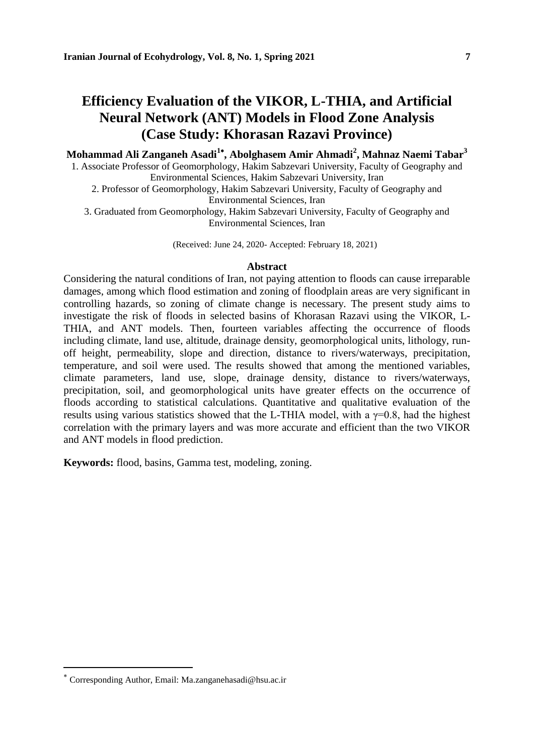## **Efficiency Evaluation of the VIKOR, L-THIA, and Artificial Neural Network (ANT) Models in Flood Zone Analysis (Case Study: Khorasan Razavi Province)**

**Mohammad Ali Zanganeh Asadi<sup>1</sup> , Abolghasem Amir Ahmadi<sup>2</sup> , Mahnaz Naemi Tabar<sup>3</sup>**

1. Associate Professor of Geomorphology, Hakim Sabzevari University, Faculty of Geography and Environmental Sciences, Hakim Sabzevari University, Iran

2. Professor of Geomorphology, Hakim Sabzevari University, Faculty of Geography and Environmental Sciences, Iran

3. Graduated from Geomorphology, Hakim Sabzevari University, Faculty of Geography and Environmental Sciences, Iran

(Received: June 24, 2020- Accepted: February 18, 2021)

#### **Abstract**

Considering the natural conditions of Iran, not paying attention to floods can cause irreparable damages, among which flood estimation and zoning of floodplain areas are very significant in controlling hazards, so zoning of climate change is necessary. The present study aims to investigate the risk of floods in selected basins of Khorasan Razavi using the VIKOR, L-THIA, and ANT models. Then, fourteen variables affecting the occurrence of floods including climate, land use, altitude, drainage density, geomorphological units, lithology, runoff height, permeability, slope and direction, distance to rivers/waterways, precipitation, temperature, and soil were used. The results showed that among the mentioned variables, climate parameters, land use, slope, drainage density, distance to rivers/waterways, precipitation, soil, and geomorphological units have greater effects on the occurrence of floods according to statistical calculations. Quantitative and qualitative evaluation of the results using various statistics showed that the L-THIA model, with a  $\gamma=0.8$ , had the highest correlation with the primary layers and was more accurate and efficient than the two VIKOR and ANT models in flood prediction.

**Keywords:** flood, basins, Gamma test, modeling, zoning.

Corresponding Author, Email: Ma.zanganehasadi@hsu.ac.ir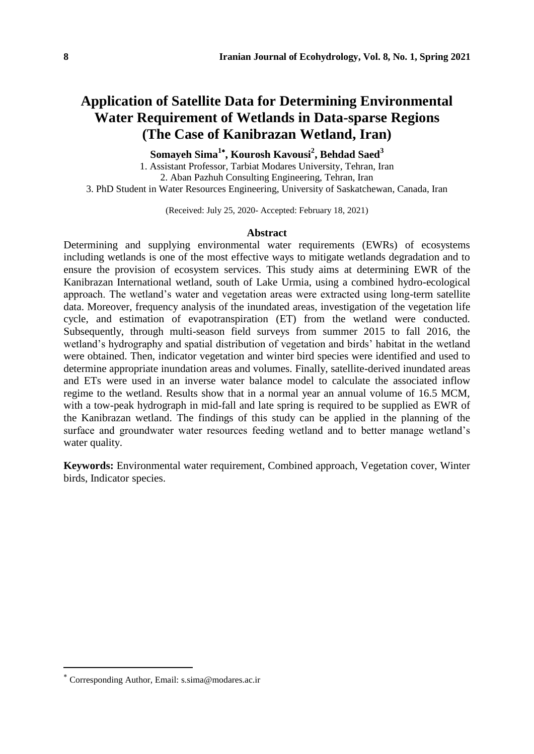# **Application of Satellite Data for Determining Environmental Water Requirement of Wetlands in Data-sparse Regions (The Case of Kanibrazan Wetland, Iran)**

**Somayeh Sima<sup>1</sup> , Kourosh Kavousi<sup>2</sup> , Behdad Saed<sup>3</sup>**

1. Assistant Professor, Tarbiat Modares University, Tehran, Iran 2. Aban Pazhuh Consulting Engineering, Tehran, Iran 3. PhD Student in Water Resources Engineering, University of Saskatchewan, Canada, Iran

(Received: July 25, 2020- Accepted: February 18, 2021)

#### **Abstract**

Determining and supplying environmental water requirements (EWRs) of ecosystems including wetlands is one of the most effective ways to mitigate wetlands degradation and to ensure the provision of ecosystem services. This study aims at determining EWR of the Kanibrazan International wetland, south of Lake Urmia, using a combined hydro-ecological approach. The wetland's water and vegetation areas were extracted using long-term satellite data. Moreover, frequency analysis of the inundated areas, investigation of the vegetation life cycle, and estimation of evapotranspiration (ET) from the wetland were conducted. Subsequently, through multi-season field surveys from summer 2015 to fall 2016, the wetland's hydrography and spatial distribution of vegetation and birds' habitat in the wetland were obtained. Then, indicator vegetation and winter bird species were identified and used to determine appropriate inundation areas and volumes. Finally, satellite-derived inundated areas and ETs were used in an inverse water balance model to calculate the associated inflow regime to the wetland. Results show that in a normal year an annual volume of 16.5 MCM, with a tow-peak hydrograph in mid-fall and late spring is required to be supplied as EWR of the Kanibrazan wetland. The findings of this study can be applied in the planning of the surface and groundwater water resources feeding wetland and to better manage wetland's water quality.

**Keywords:** Environmental water requirement, Combined approach, Vegetation cover, Winter birds, Indicator species.

Corresponding Author, Email: s.sima@modares.ac.ir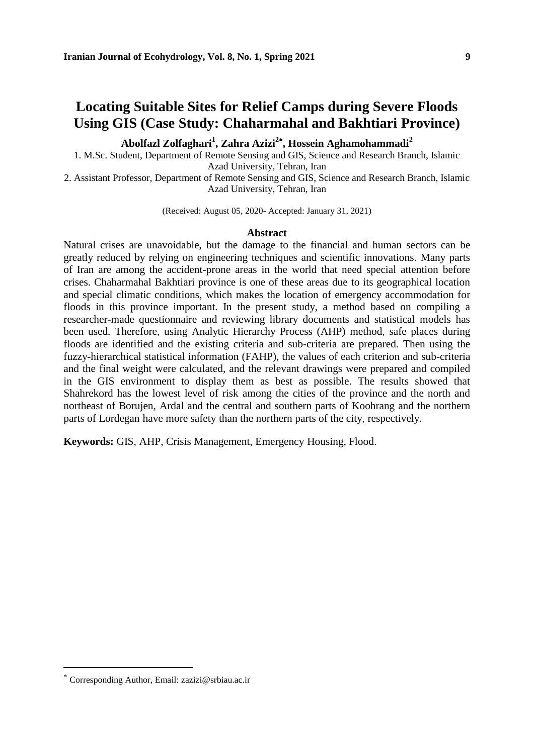### **Locating Suitable Sites for Relief Camps during Severe Floods Using GIS (Case Study: Chaharmahal and Bakhtiari Province)**

**Abolfazl Zolfaghari<sup>1</sup> , Zahra Azizi<sup>2</sup> , Hossein Aghamohammadi<sup>2</sup>**

1. M.Sc. Student, Department of Remote Sensing and GIS, Science and Research Branch, Islamic Azad University, Tehran, Iran

2. Assistant Professor, Department of Remote Sensing and GIS, Science and Research Branch, Islamic Azad University, Tehran, Iran

(Received: August 05, 2020- Accepted: January 31, 2021)

#### **Abstract**

Natural crises are unavoidable, but the damage to the financial and human sectors can be greatly reduced by relying on engineering techniques and scientific innovations. Many parts of Iran are among the accident-prone areas in the world that need special attention before crises. Chaharmahal Bakhtiari province is one of these areas due to its geographical location and special climatic conditions, which makes the location of emergency accommodation for floods in this province important. In the present study, a method based on compiling a researcher-made questionnaire and reviewing library documents and statistical models has been used. Therefore, using Analytic Hierarchy Process (AHP) method, safe places during floods are identified and the existing criteria and sub-criteria are prepared. Then using the fuzzy-hierarchical statistical information (FAHP), the values of each criterion and sub-criteria and the final weight were calculated, and the relevant drawings were prepared and compiled in the GIS environment to display them as best as possible. The results showed that Shahrekord has the lowest level of risk among the cities of the province and the north and northeast of Borujen, Ardal and the central and southern parts of Koohrang and the northern parts of Lordegan have more safety than the northern parts of the city, respectively.

**Keywords:** GIS, AHP, Crisis Management, Emergency Housing, Flood.

Corresponding Author, Email: zazizi@srbiau.ac.ir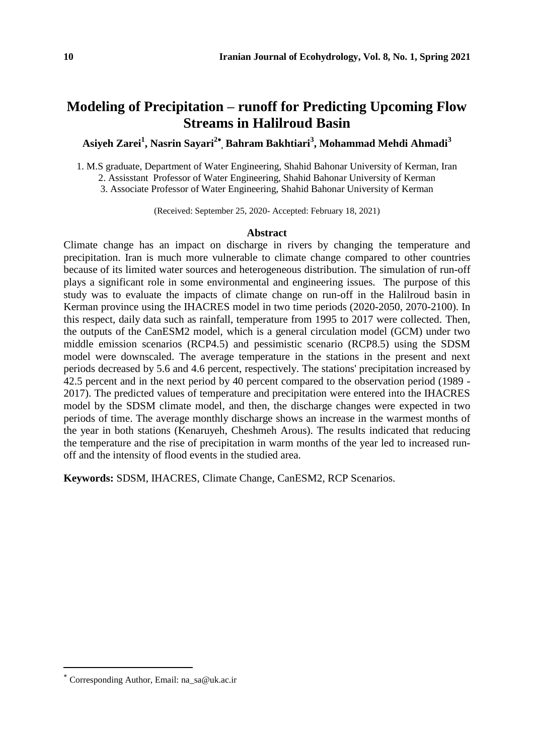### **Modeling of Precipitation – runoff for Predicting Upcoming Flow Streams in Halilroud Basin**

**Asiyeh Zarei<sup>1</sup> , Nasrin Sayari<sup>2</sup> , Bahram Bakhtiari<sup>3</sup> , Mohammad Mehdi Ahmadi<sup>3</sup>**

1. M.S graduate, Department of Water Engineering, Shahid Bahonar University of Kerman, Iran

2. Assisstant Professor of Water Engineering, Shahid Bahonar University of Kerman

3. Associate Professor of Water Engineering, Shahid Bahonar University of Kerman

(Received: September 25, 2020- Accepted: February 18, 2021)

#### **Abstract**

Climate change has an impact on discharge in rivers by changing the temperature and precipitation. Iran is much more vulnerable to climate change compared to other countries because of its limited water sources and heterogeneous distribution. The simulation of run-off plays a significant role in some environmental and engineering issues. The purpose of this study was to evaluate the impacts of climate change on run-off in the Halilroud basin in Kerman province using the IHACRES model in two time periods (2020-2050, 2070-2100). In this respect, daily data such as rainfall, temperature from 1995 to 2017 were collected. Then, the outputs of the CanESM2 model, which is a general circulation model (GCM) under two middle emission scenarios (RCP4.5) and pessimistic scenario (RCP8.5) using the SDSM model were downscaled. The average temperature in the stations in the present and next periods decreased by 5.6 and 4.6 percent, respectively. The stations' precipitation increased by 42.5 percent and in the next period by 40 percent compared to the observation period (1989 - 2017). The predicted values of temperature and precipitation were entered into the IHACRES model by the SDSM climate model, and then, the discharge changes were expected in two periods of time. The average monthly discharge shows an increase in the warmest months of the year in both stations (Kenaruyeh, Cheshmeh Arous). The results indicated that reducing the temperature and the rise of precipitation in warm months of the year led to increased runoff and the intensity of flood events in the studied area.

**Keywords:** SDSM, IHACRES, Climate Change, CanESM2, RCP Scenarios.

Corresponding Author, Email: na\_sa@uk.ac.ir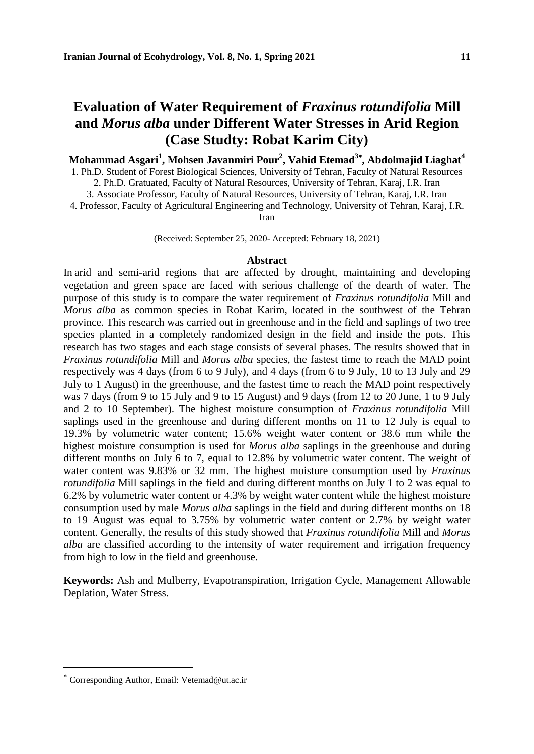# **Evaluation of Water Requirement of** *Fraxinus rotundifolia* **Mill and** *Morus alba* **under Different Water Stresses in Arid Region (Case Studty: Robat Karim City)**

**Mohammad Asgari<sup>1</sup> , Mohsen Javanmiri Pour<sup>2</sup> , Vahid Etemad<sup>3</sup> , Abdolmajid Liaghat<sup>4</sup>**

1. Ph.D. Student of Forest Biological Sciences, University of Tehran, Faculty of Natural Resources 2. Ph.D. Gratuated, Faculty of Natural Resources, University of Tehran, Karaj, I.R. Iran 3. Associate Professor, Faculty of Natural Resources, University of Tehran, Karaj, I.R. Iran 4. Professor, Faculty of Agricultural Engineering and Technology, University of Tehran, Karaj, I.R.

Iran

(Received: September 25, 2020- Accepted: February 18, 2021)

#### **Abstract**

In arid and semi-arid regions that are affected by drought, maintaining and developing vegetation and green space are faced with serious challenge of the dearth of water. The purpose of this study is to compare the water requirement of *Fraxinus rotundifolia* Mill and *Morus alba* as common species in Robat Karim, located in the southwest of the Tehran province. This research was carried out in greenhouse and in the field and saplings of two tree species planted in a completely randomized design in the field and inside the pots. This research has two stages and each stage consists of several phases. The results showed that in *Fraxinus rotundifolia* Mill and *Morus alba* species, the fastest time to reach the MAD point respectively was 4 days (from 6 to 9 July), and 4 days (from 6 to 9 July, 10 to 13 July and 29 July to 1 August) in the greenhouse, and the fastest time to reach the MAD point respectively was 7 days (from 9 to 15 July and 9 to 15 August) and 9 days (from 12 to 20 June, 1 to 9 July and 2 to 10 September). The highest moisture consumption of *Fraxinus rotundifolia* Mill saplings used in the greenhouse and during different months on 11 to 12 July is equal to 19.3% by volumetric water content; 15.6% weight water content or 38.6 mm while the highest moisture consumption is used for *Morus alba* saplings in the greenhouse and during different months on July 6 to 7, equal to 12.8% by volumetric water content. The weight of water content was 9.83% or 32 mm. The highest moisture consumption used by *Fraxinus rotundifolia* Mill saplings in the field and during different months on July 1 to 2 was equal to 6.2% by volumetric water content or 4.3% by weight water content while the highest moisture consumption used by male *Morus alba* saplings in the field and during different months on 18 to 19 August was equal to 3.75% by volumetric water content or 2.7% by weight water content. Generally, the results of this study showed that *Fraxinus rotundifolia* Mill and *Morus alba* are classified according to the intensity of water requirement and irrigation frequency from high to low in the field and greenhouse.

**Keywords:** Ash and Mulberry, Evapotranspiration, Irrigation Cycle, Management Allowable Deplation, Water Stress.

Corresponding Author, Email: Vetemad@ut.ac.ir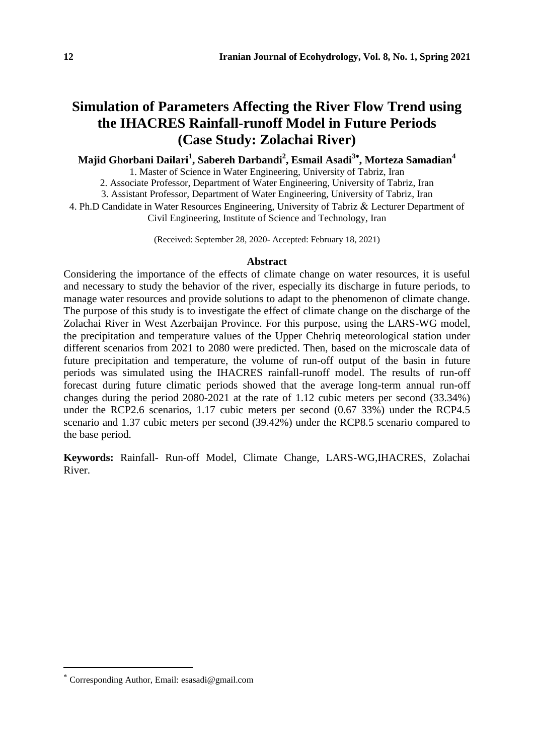# **Simulation of Parameters Affecting the River Flow Trend using the IHACRES Rainfall-runoff Model in Future Periods (Case Study: Zolachai River)**

### **Majid Ghorbani Dailari<sup>1</sup> , Sabereh Darbandi<sup>2</sup> , Esmail Asadi<sup>3</sup> , Morteza Samadian<sup>4</sup>**

1. Master of Science in Water Engineering, University of Tabriz, Iran

2. Associate Professor, Department of Water Engineering, University of Tabriz, Iran

3. Assistant Professor, Department of Water Engineering, University of Tabriz, Iran

4. Ph.D Candidate in Water Resources Engineering, University of Tabriz & Lecturer Department of Civil Engineering, Institute of Science and Technology, Iran

(Received: September 28, 2020- Accepted: February 18, 2021)

#### **Abstract**

Considering the importance of the effects of climate change on water resources, it is useful and necessary to study the behavior of the river, especially its discharge in future periods, to manage water resources and provide solutions to adapt to the phenomenon of climate change. The purpose of this study is to investigate the effect of climate change on the discharge of the Zolachai River in West Azerbaijan Province. For this purpose, using the LARS-WG model, the precipitation and temperature values of the Upper Chehriq meteorological station under different scenarios from 2021 to 2080 were predicted. Then, based on the microscale data of future precipitation and temperature, the volume of run-off output of the basin in future periods was simulated using the IHACRES rainfall-runoff model. The results of run-off forecast during future climatic periods showed that the average long-term annual run-off changes during the period 2080-2021 at the rate of 1.12 cubic meters per second (33.34%) under the RCP2.6 scenarios, 1.17 cubic meters per second (0.67 33%) under the RCP4.5 scenario and 1.37 cubic meters per second (39.42%) under the RCP8.5 scenario compared to the base period.

**Keywords:** Rainfall- Run-off Model, Climate Change, LARS-WG,IHACRES, Zolachai River.

Corresponding Author, Email: esasadi@gmail.com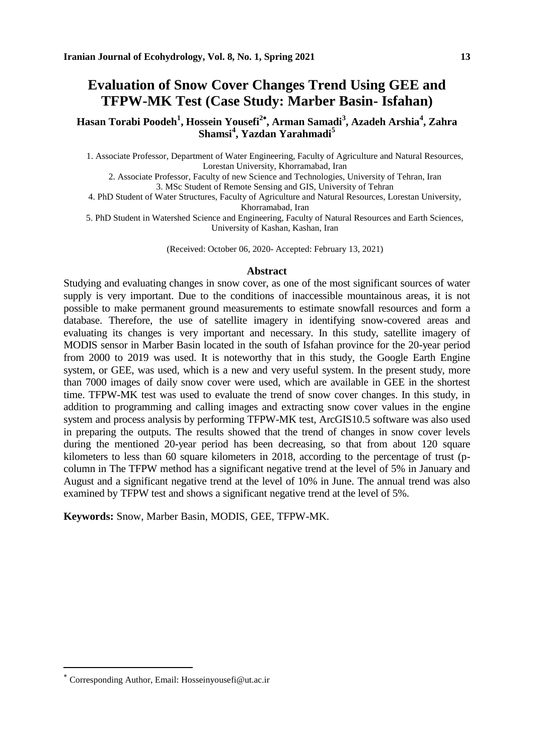### **Evaluation of Snow Cover Changes Trend Using GEE and TFPW-MK Test (Case Study: Marber Basin- Isfahan)**

**Hasan Torabi Poodeh<sup>1</sup> , Hossein Yousefi<sup>2</sup> , Arman Samadi<sup>3</sup> , Azadeh Arshia<sup>4</sup> , Zahra Shamsi<sup>4</sup> , Yazdan Yarahmadi<sup>5</sup>**

1. Associate Professor, Department of Water Engineering, Faculty of Agriculture and Natural Resources, Lorestan University, Khorramabad, Iran

2. Associate Professor, Faculty of new Science and Technologies, University of Tehran, Iran 3. MSc Student of Remote Sensing and GIS, University of Tehran

4. PhD Student of Water Structures, Faculty of Agriculture and Natural Resources, Lorestan University, Khorramabad, Iran

5. PhD Student in Watershed Science and Engineering, Faculty of Natural Resources and Earth Sciences, University of Kashan, Kashan, Iran

(Received: October 06, 2020- Accepted: February 13, 2021)

#### **Abstract**

Studying and evaluating changes in snow cover, as one of the most significant sources of water supply is very important. Due to the conditions of inaccessible mountainous areas, it is not possible to make permanent ground measurements to estimate snowfall resources and form a database. Therefore, the use of satellite imagery in identifying snow-covered areas and evaluating its changes is very important and necessary. In this study, satellite imagery of MODIS sensor in Marber Basin located in the south of Isfahan province for the 20-year period from 2000 to 2019 was used. It is noteworthy that in this study, the Google Earth Engine system, or GEE, was used, which is a new and very useful system. In the present study, more than 7000 images of daily snow cover were used, which are available in GEE in the shortest time. TFPW-MK test was used to evaluate the trend of snow cover changes. In this study, in addition to programming and calling images and extracting snow cover values in the engine system and process analysis by performing TFPW-MK test, ArcGIS10.5 software was also used in preparing the outputs. The results showed that the trend of changes in snow cover levels during the mentioned 20-year period has been decreasing, so that from about 120 square kilometers to less than 60 square kilometers in 2018, according to the percentage of trust (pcolumn in The TFPW method has a significant negative trend at the level of 5% in January and August and a significant negative trend at the level of 10% in June. The annual trend was also examined by TFPW test and shows a significant negative trend at the level of 5%.

**Keywords:** Snow, Marber Basin, MODIS, GEE, TFPW-MK.

Corresponding Author, Email: Hosseinyousefi@ut.ac.ir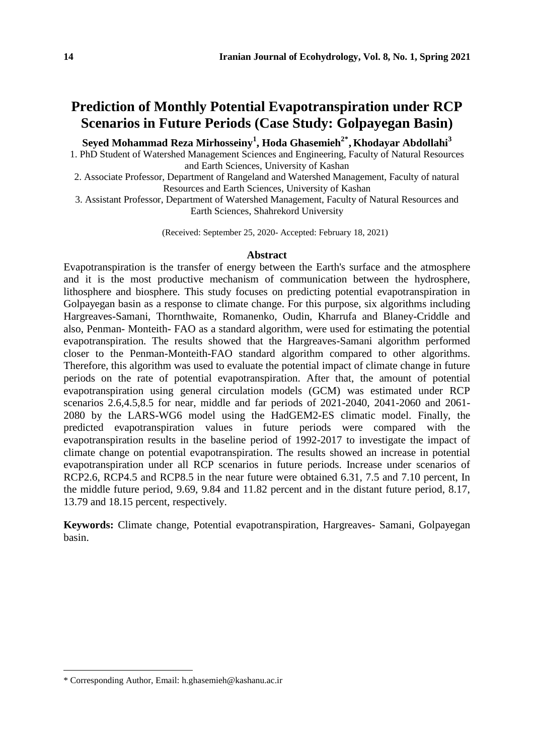### **Prediction of Monthly Potential Evapotranspiration under RCP Scenarios in Future Periods (Case Study: Golpayegan Basin)**

**Seyed Mohammad Reza Mirhosseiny<sup>1</sup> , Hoda Ghasemieh2\* <sup>1</sup>, Khodayar Abdollahi<sup>3</sup>**

1. PhD Student of Watershed Management Sciences and Engineering, Faculty of Natural Resources and Earth Sciences, University of Kashan

- 2. Associate Professor, Department of Rangeland and Watershed Management, Faculty of natural Resources and Earth Sciences, University of Kashan
- 3. Assistant Professor, Department of Watershed Management, Faculty of Natural Resources and Earth Sciences, Shahrekord University

(Received: September 25, 2020- Accepted: February 18, 2021)

### **Abstract**

Evapotranspiration is the transfer of energy between the Earth's surface and the atmosphere and it is the most productive mechanism of communication between the hydrosphere, lithosphere and biosphere. This study focuses on predicting potential evapotranspiration in Golpayegan basin as a response to climate change. For this purpose, six algorithms including Hargreaves-Samani, Thornthwaite, Romanenko, Oudin, Kharrufa and Blaney-Criddle and also, Penman- Monteith- FAO as a standard algorithm, were used for estimating the potential evapotranspiration. The results showed that the Hargreaves-Samani algorithm performed closer to the Penman-Monteith-FAO standard algorithm compared to other algorithms. Therefore, this algorithm was used to evaluate the potential impact of climate change in future periods on the rate of potential evapotranspiration. After that, the amount of potential evapotranspiration using general circulation models (GCM) was estimated under RCP scenarios 2.6,4.5,8.5 for near, middle and far periods of 2021-2040, 2041-2060 and 2061- 2080 by the LARS-WG6 model using the HadGEM2-ES climatic model. Finally, the predicted evapotranspiration values in future periods were compared with the evapotranspiration results in the baseline period of 1992-2017 to investigate the impact of climate change on potential evapotranspiration. The results showed an increase in potential evapotranspiration under all RCP scenarios in future periods. Increase under scenarios of RCP2.6, RCP4.5 and RCP8.5 in the near future were obtained 6.31, 7.5 and 7.10 percent, In the middle future period, 9.69, 9.84 and 11.82 percent and in the distant future period, 8.17, 13.79 and 18.15 percent, respectively.

**Keywords:** Climate change, Potential evapotranspiration, Hargreaves- Samani, Golpayegan basin.

l

<sup>\*</sup> Corresponding Author, Email: h.ghasemieh@kashanu.ac.ir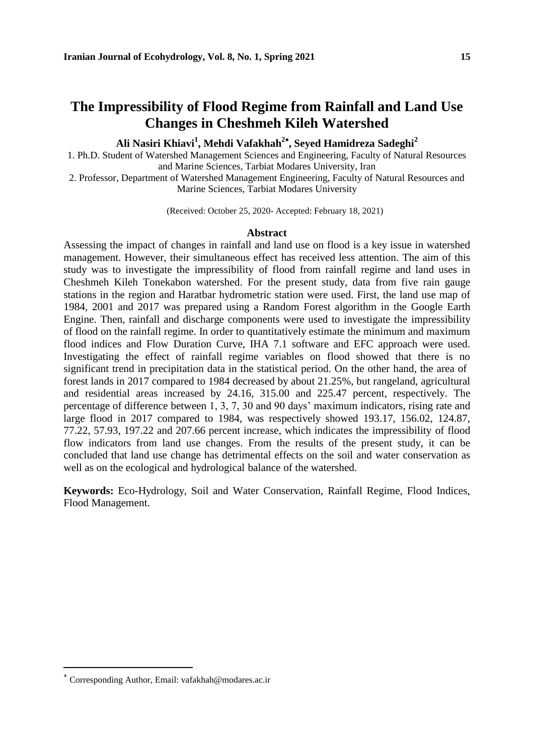### **The Impressibility of Flood Regime from Rainfall and Land Use Changes in Cheshmeh Kileh Watershed**

**Ali Nasiri Khiavi<sup>1</sup> , Mehdi Vafakhah<sup>2</sup> , Seyed Hamidreza Sadeghi<sup>2</sup>**

1. Ph.D. Student of Watershed Management Sciences and Engineering, Faculty of Natural Resources and Marine Sciences, Tarbiat Modares University, Iran

2. Professor, Department of Watershed Management Engineering, Faculty of Natural Resources and Marine Sciences, Tarbiat Modares University

(Received: October 25, 2020- Accepted: February 18, 2021)

#### **Abstract**

Assessing the impact of changes in rainfall and land use on flood is a key issue in watershed management. However, their simultaneous effect has received less attention. The aim of this study was to investigate the impressibility of flood from rainfall regime and land uses in Cheshmeh Kileh Tonekabon watershed. For the present study, data from five rain gauge stations in the region and Haratbar hydrometric station were used. First, the land use map of 1984, 2001 and 2017 was prepared using a Random Forest algorithm in the Google Earth Engine. Then, rainfall and discharge components were used to investigate the impressibility of flood on the rainfall regime. In order to quantitatively estimate the minimum and maximum flood indices and Flow Duration Curve, IHA 7.1 software and EFC approach were used. Investigating the effect of rainfall regime variables on flood showed that there is no significant trend in precipitation data in the statistical period. On the other hand, the area of forest lands in 2017 compared to 1984 decreased by about 21.25%, but rangeland, agricultural and residential areas increased by 24.16, 315.00 and 225.47 percent, respectively. The percentage of difference between 1, 3, 7, 30 and 90 days' maximum indicators, rising rate and large flood in 2017 compared to 1984, was respectively showed 193.17, 156.02, 124.87, 77.22, 57.93, 197.22 and 207.66 percent increase, which indicates the impressibility of flood flow indicators from land use changes. From the results of the present study, it can be concluded that land use change has detrimental effects on the soil and water conservation as well as on the ecological and hydrological balance of the watershed.

**Keywords:** Eco-Hydrology, Soil and Water Conservation, Rainfall Regime, Flood Indices, Flood Management.

Corresponding Author, Email: vafakhah@modares.ac.ir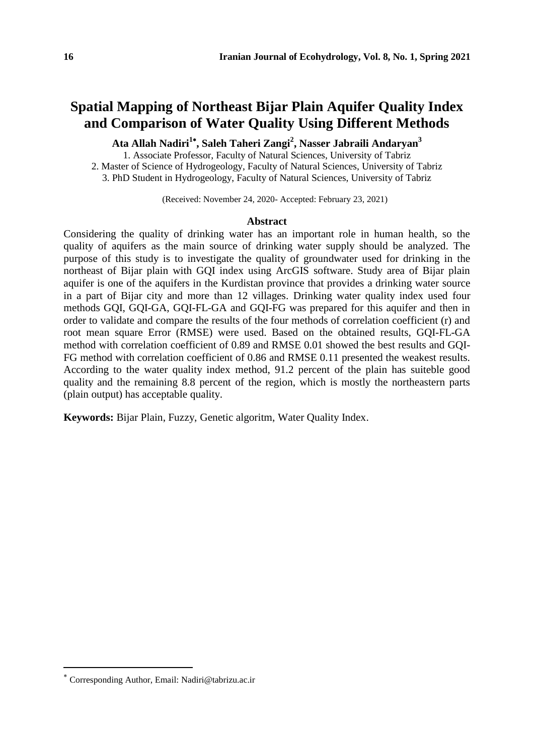### **Spatial Mapping of Northeast Bijar Plain Aquifer Quality Index and Comparison of Water Quality Using Different Methods**

**Ata Allah Nadiri<sup>1</sup> , Saleh Taheri Zangi<sup>2</sup> , Nasser Jabraili Andaryan<sup>3</sup>**

1. Associate Professor, Faculty of Natural Sciences, University of Tabriz 2. Master of Science of Hydrogeology, Faculty of Natural Sciences, University of Tabriz 3. PhD Student in Hydrogeology, Faculty of Natural Sciences, University of Tabriz

(Received: November 24, 2020- Accepted: February 23, 2021)

#### **Abstract**

Considering the quality of drinking water has an important role in human health, so the quality of aquifers as the main source of drinking water supply should be analyzed. The purpose of this study is to investigate the quality of groundwater used for drinking in the northeast of Bijar plain with GOI index using ArcGIS software. Study area of Bijar plain aquifer is one of the aquifers in the Kurdistan province that provides a drinking water source in a part of Bijar city and more than 12 villages. Drinking water quality index used four methods GQI, GQI-GA, GQI-FL-GA and GQI-FG was prepared for this aquifer and then in order to validate and compare the results of the four methods of correlation coefficient (r) and root mean square Error (RMSE) were used. Based on the obtained results, GQI-FL-GA method with correlation coefficient of 0.89 and RMSE 0.01 showed the best results and GQI-FG method with correlation coefficient of 0.86 and RMSE 0.11 presented the weakest results. According to the water quality index method, 91.2 percent of the plain has suiteble good quality and the remaining 8.8 percent of the region, which is mostly the northeastern parts (plain output) has acceptable quality.

**Keywords:** Bijar Plain, Fuzzy, Genetic algoritm, Water Quality Index.

Corresponding Author, Email: Nadiri@tabrizu.ac.ir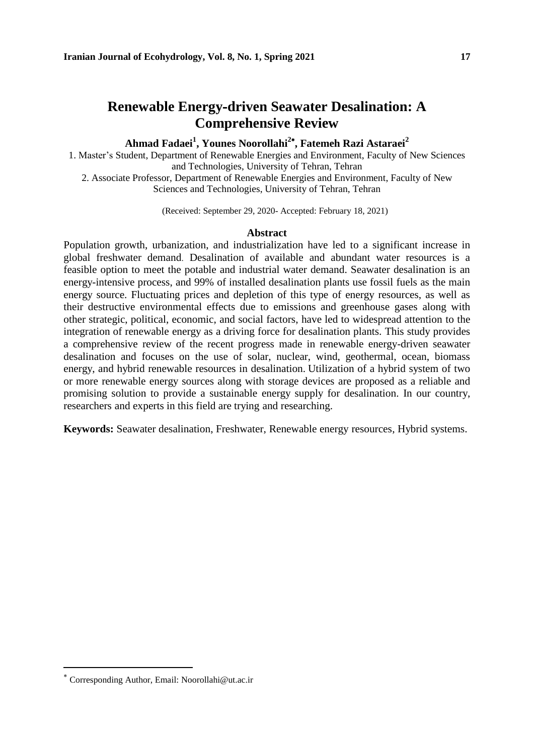### **Renewable Energy-driven Seawater Desalination: A Comprehensive Review**

### **Ahmad Fadaei<sup>1</sup> , Younes Noorollahi<sup>2</sup> , Fatemeh Razi Astaraei<sup>2</sup>**

1. Master's Student, Department of Renewable Energies and Environment, Faculty of New Sciences and Technologies, University of Tehran, Tehran

2. Associate Professor, Department of Renewable Energies and Environment, Faculty of New Sciences and Technologies, University of Tehran, Tehran

(Received: September 29, 2020- Accepted: February 18, 2021)

### **Abstract**

Population growth, urbanization, and industrialization have led to a significant increase in global freshwater demand. Desalination of available and abundant water resources is a feasible option to meet the potable and industrial water demand. Seawater desalination is an energy-intensive process, and 99% of installed desalination plants use fossil fuels as the main energy source. Fluctuating prices and depletion of this type of energy resources, as well as their destructive environmental effects due to emissions and greenhouse gases along with other strategic, political, economic, and social factors, have led to widespread attention to the integration of renewable energy as a driving force for desalination plants. This study provides a comprehensive review of the recent progress made in renewable energy-driven seawater desalination and focuses on the use of solar, nuclear, wind, geothermal, ocean, biomass energy, and hybrid renewable resources in desalination. Utilization of a hybrid system of two or more renewable energy sources along with storage devices are proposed as a reliable and promising solution to provide a sustainable energy supply for desalination. In our country, researchers and experts in this field are trying and researching.

**Keywords:** Seawater desalination, Freshwater, Renewable energy resources, Hybrid systems.

Corresponding Author, Email: Noorollahi@ut.ac.ir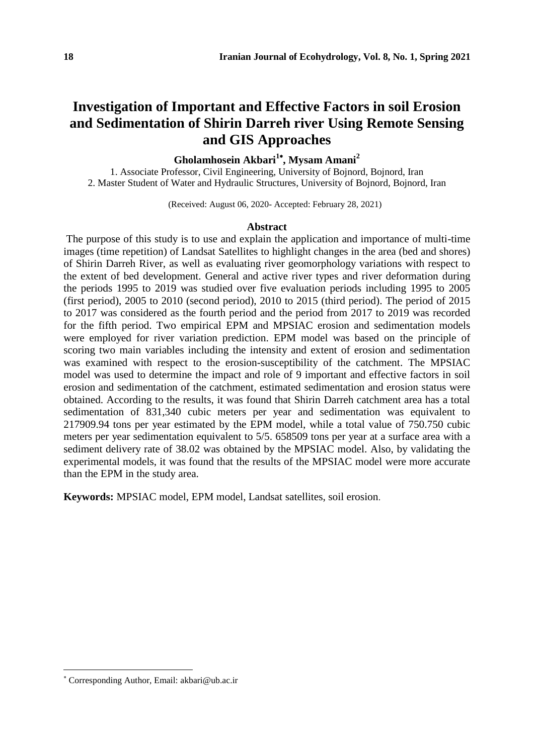# **Investigation of Important and Effective Factors in soil Erosion and Sedimentation of Shirin Darreh river Using Remote Sensing and GIS Approaches**

### **Gholamhosein Akbari<sup>1</sup> , Mysam Amani<sup>2</sup>**

1. Associate Professor, Civil Engineering, University of Bojnord, Bojnord, Iran 2. Master Student of Water and Hydraulic Structures, University of Bojnord, Bojnord, Iran

(Received: August 06, 2020- Accepted: February 28, 2021)

#### **Abstract**

The purpose of this study is to use and explain the application and importance of multi-time images (time repetition) of Landsat Satellites to highlight changes in the area (bed and shores) of Shirin Darreh River, as well as evaluating river geomorphology variations with respect to the extent of bed development. General and active river types and river deformation during the periods 1995 to 2019 was studied over five evaluation periods including 1995 to 2005 (first period), 2005 to 2010 (second period), 2010 to 2015 (third period). The period of 2015 to 2017 was considered as the fourth period and the period from 2017 to 2019 was recorded for the fifth period. Two empirical EPM and MPSIAC erosion and sedimentation models were employed for river variation prediction. EPM model was based on the principle of scoring two main variables including the intensity and extent of erosion and sedimentation was examined with respect to the erosion-susceptibility of the catchment. The MPSIAC model was used to determine the impact and role of 9 important and effective factors in soil erosion and sedimentation of the catchment, estimated sedimentation and erosion status were obtained. According to the results, it was found that Shirin Darreh catchment area has a total sedimentation of 831,340 cubic meters per year and sedimentation was equivalent to 217909.94 tons per year estimated by the EPM model, while a total value of 750.750 cubic meters per year sedimentation equivalent to 5/5. 658509 tons per year at a surface area with a sediment delivery rate of 38.02 was obtained by the MPSIAC model. Also, by validating the experimental models, it was found that the results of the MPSIAC model were more accurate than the EPM in the study area.

**Keywords:** MPSIAC model, EPM model, Landsat satellites, soil erosion.

Corresponding Author, Email: akbari@ub.ac.ir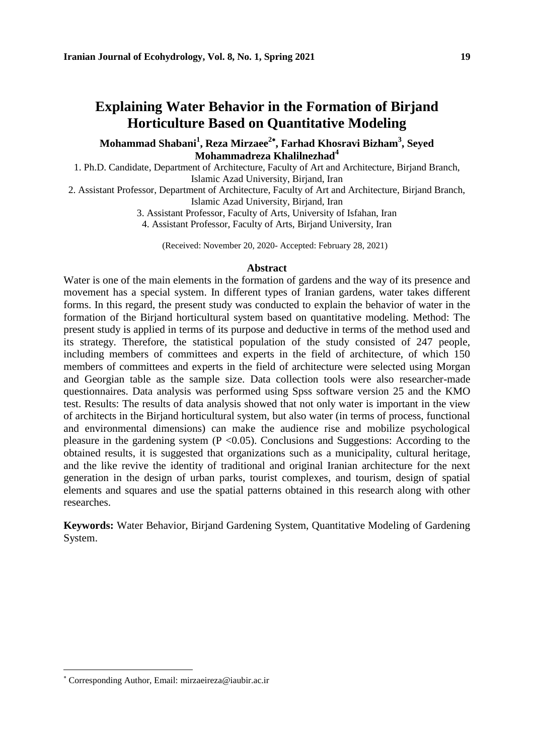### **Explaining Water Behavior in the Formation of Birjand Horticulture Based on Quantitative Modeling**

### **Mohammad Shabani<sup>1</sup> , Reza Mirzaee<sup>2</sup> , Farhad Khosravi Bizham<sup>3</sup> , Seyed Mohammadreza Khalilnezhad<sup>4</sup>**

1. Ph.D. Candidate, Department of Architecture, Faculty of Art and Architecture, Birjand Branch, Islamic Azad University, Birjand, Iran

2. Assistant Professor, Department of Architecture, Faculty of Art and Architecture, Birjand Branch, Islamic Azad University, Birjand, Iran

> 3. Assistant Professor, Faculty of Arts, University of Isfahan, Iran 4. Assistant Professor, Faculty of Arts, Birjand University, Iran

(Received: November 20, 2020- Accepted: February 28, 2021)

#### **Abstract**

Water is one of the main elements in the formation of gardens and the way of its presence and movement has a special system. In different types of Iranian gardens, water takes different forms. In this regard, the present study was conducted to explain the behavior of water in the formation of the Birjand horticultural system based on quantitative modeling. Method: The present study is applied in terms of its purpose and deductive in terms of the method used and its strategy. Therefore, the statistical population of the study consisted of 247 people, including members of committees and experts in the field of architecture, of which 150 members of committees and experts in the field of architecture were selected using Morgan and Georgian table as the sample size. Data collection tools were also researcher-made questionnaires. Data analysis was performed using Spss software version 25 and the KMO test. Results: The results of data analysis showed that not only water is important in the view of architects in the Birjand horticultural system, but also water (in terms of process, functional and environmental dimensions) can make the audience rise and mobilize psychological pleasure in the gardening system  $(P \le 0.05)$ . Conclusions and Suggestions: According to the obtained results, it is suggested that organizations such as a municipality, cultural heritage, and the like revive the identity of traditional and original Iranian architecture for the next generation in the design of urban parks, tourist complexes, and tourism, design of spatial elements and squares and use the spatial patterns obtained in this research along with other researches.

**Keywords:** Water Behavior, Birjand Gardening System, Quantitative Modeling of Gardening System.

Corresponding Author, Email: mirzaeireza@iaubir.ac.ir